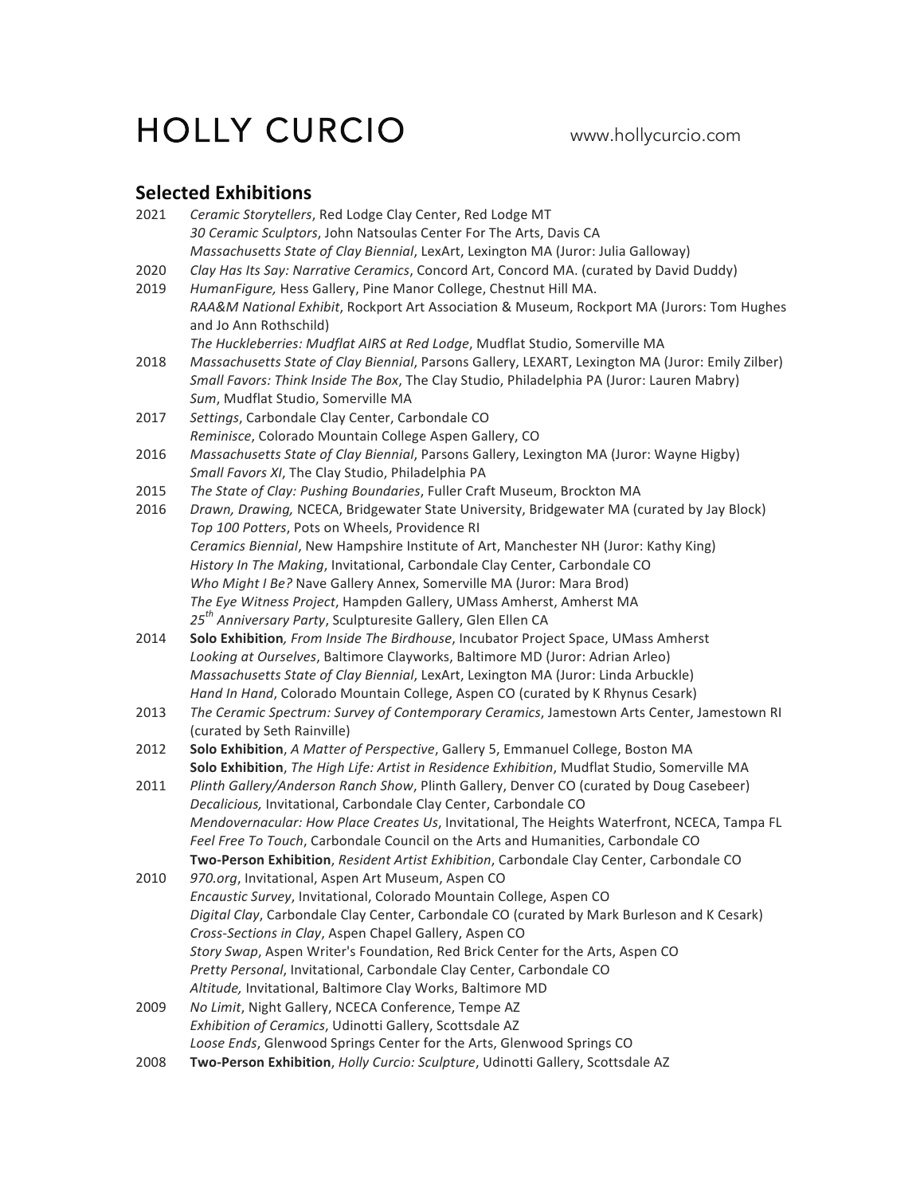# HOLLY CURCIO www.hollycurcio.com

# **Selected Exhibitions**

| 2021 | Ceramic Storytellers, Red Lodge Clay Center, Red Lodge MT                                                       |
|------|-----------------------------------------------------------------------------------------------------------------|
|      | 30 Ceramic Sculptors, John Natsoulas Center For The Arts, Davis CA                                              |
|      | Massachusetts State of Clay Biennial, LexArt, Lexington MA (Juror: Julia Galloway)                              |
| 2020 | Clay Has Its Say: Narrative Ceramics, Concord Art, Concord MA. (curated by David Duddy)                         |
| 2019 | HumanFigure, Hess Gallery, Pine Manor College, Chestnut Hill MA.                                                |
|      | RAA&M National Exhibit, Rockport Art Association & Museum, Rockport MA (Jurors: Tom Hughes                      |
|      | and Jo Ann Rothschild)                                                                                          |
|      | The Huckleberries: Mudflat AIRS at Red Lodge, Mudflat Studio, Somerville MA                                     |
| 2018 | Massachusetts State of Clay Biennial, Parsons Gallery, LEXART, Lexington MA (Juror: Emily Zilber)               |
|      | Small Favors: Think Inside The Box, The Clay Studio, Philadelphia PA (Juror: Lauren Mabry)                      |
|      | Sum, Mudflat Studio, Somerville MA                                                                              |
| 2017 | Settings, Carbondale Clay Center, Carbondale CO                                                                 |
|      | Reminisce, Colorado Mountain College Aspen Gallery, CO                                                          |
| 2016 | Massachusetts State of Clay Biennial, Parsons Gallery, Lexington MA (Juror: Wayne Higby)                        |
|      | Small Favors XI, The Clay Studio, Philadelphia PA                                                               |
| 2015 | The State of Clay: Pushing Boundaries, Fuller Craft Museum, Brockton MA                                         |
| 2016 | Drawn, Drawing, NCECA, Bridgewater State University, Bridgewater MA (curated by Jay Block)                      |
|      | Top 100 Potters, Pots on Wheels, Providence RI                                                                  |
|      | Ceramics Biennial, New Hampshire Institute of Art, Manchester NH (Juror: Kathy King)                            |
|      | History In The Making, Invitational, Carbondale Clay Center, Carbondale CO                                      |
|      | Who Might I Be? Nave Gallery Annex, Somerville MA (Juror: Mara Brod)                                            |
|      | The Eye Witness Project, Hampden Gallery, UMass Amherst, Amherst MA                                             |
|      | 25 <sup>th</sup> Anniversary Party, Sculpturesite Gallery, Glen Ellen CA                                        |
| 2014 | Solo Exhibition, From Inside The Birdhouse, Incubator Project Space, UMass Amherst                              |
|      | Looking at Ourselves, Baltimore Clayworks, Baltimore MD (Juror: Adrian Arleo)                                   |
|      | Massachusetts State of Clay Biennial, LexArt, Lexington MA (Juror: Linda Arbuckle)                              |
|      | Hand In Hand, Colorado Mountain College, Aspen CO (curated by K Rhynus Cesark)                                  |
| 2013 | The Ceramic Spectrum: Survey of Contemporary Ceramics, Jamestown Arts Center, Jamestown RI                      |
|      |                                                                                                                 |
| 2012 | (curated by Seth Rainville)<br>Solo Exhibition, A Matter of Perspective, Gallery 5, Emmanuel College, Boston MA |
|      |                                                                                                                 |
|      | Solo Exhibition, The High Life: Artist in Residence Exhibition, Mudflat Studio, Somerville MA                   |
| 2011 | Plinth Gallery/Anderson Ranch Show, Plinth Gallery, Denver CO (curated by Doug Casebeer)                        |
|      | Decalicious, Invitational, Carbondale Clay Center, Carbondale CO                                                |
|      | Mendovernacular: How Place Creates Us, Invitational, The Heights Waterfront, NCECA, Tampa FL                    |
|      | Feel Free To Touch, Carbondale Council on the Arts and Humanities, Carbondale CO                                |
|      | Two-Person Exhibition, Resident Artist Exhibition, Carbondale Clay Center, Carbondale CO                        |
| 2010 | 970.org, Invitational, Aspen Art Museum, Aspen CO                                                               |
|      | Encaustic Survey, Invitational, Colorado Mountain College, Aspen CO                                             |
|      | Digital Clay, Carbondale Clay Center, Carbondale CO (curated by Mark Burleson and K Cesark)                     |
|      | Cross-Sections in Clay, Aspen Chapel Gallery, Aspen CO                                                          |
|      | Story Swap, Aspen Writer's Foundation, Red Brick Center for the Arts, Aspen CO                                  |
|      | Pretty Personal, Invitational, Carbondale Clay Center, Carbondale CO                                            |
|      | Altitude, Invitational, Baltimore Clay Works, Baltimore MD                                                      |
| 2009 | No Limit, Night Gallery, NCECA Conference, Tempe AZ                                                             |
|      | Exhibition of Ceramics, Udinotti Gallery, Scottsdale AZ                                                         |
|      | Loose Ends, Glenwood Springs Center for the Arts, Glenwood Springs CO                                           |
| 2008 | Two-Person Exhibition, Holly Curcio: Sculpture, Udinotti Gallery, Scottsdale AZ                                 |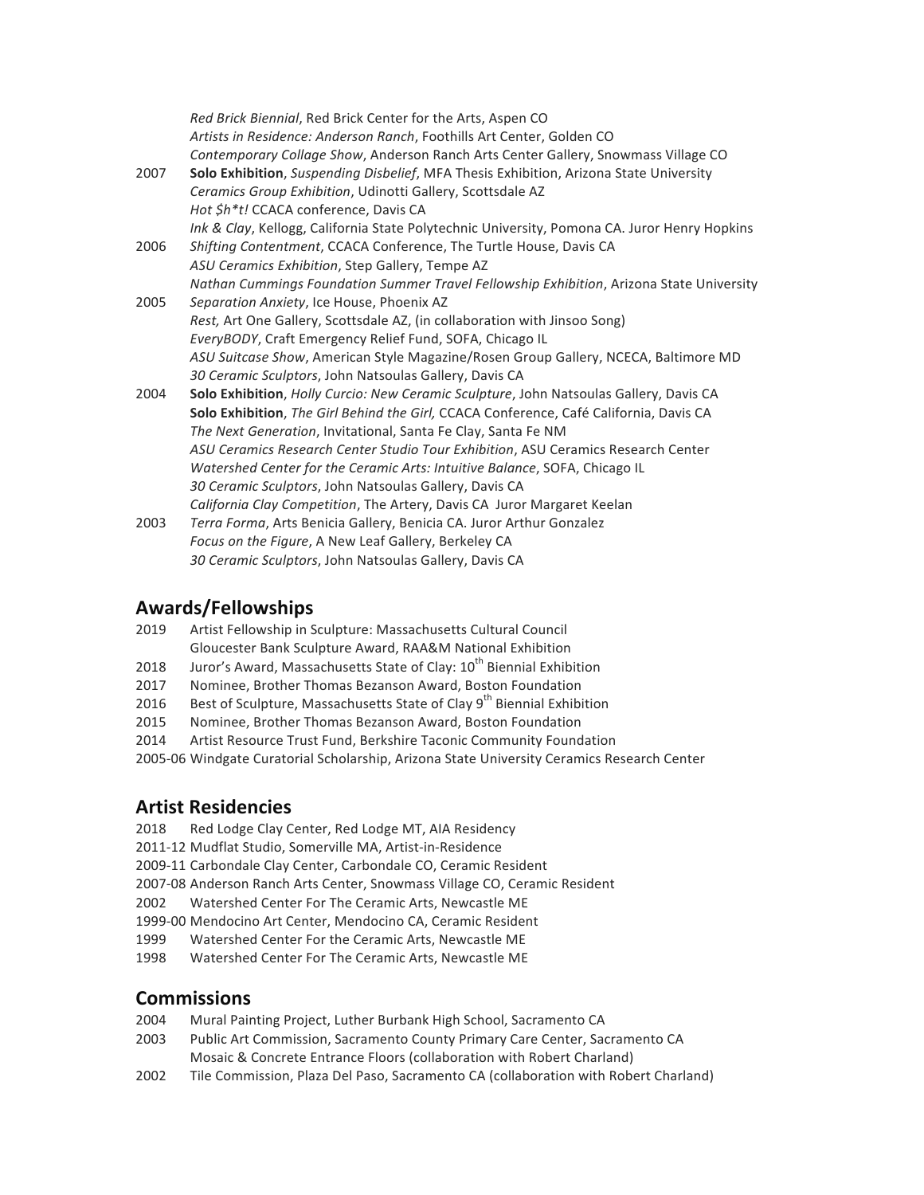|      | Red Brick Biennial, Red Brick Center for the Arts, Aspen CO<br>Artists in Residence: Anderson Ranch, Foothills Art Center, Golden CO |
|------|--------------------------------------------------------------------------------------------------------------------------------------|
|      | Contemporary Collage Show, Anderson Ranch Arts Center Gallery, Snowmass Village CO                                                   |
| 2007 | Solo Exhibition, Suspending Disbelief, MFA Thesis Exhibition, Arizona State University                                               |
|      | Ceramics Group Exhibition, Udinotti Gallery, Scottsdale AZ                                                                           |
|      | Hot \$h*t! CCACA conference, Davis CA                                                                                                |
|      | Ink & Clay, Kellogg, California State Polytechnic University, Pomona CA. Juror Henry Hopkins                                         |
| 2006 | Shifting Contentment, CCACA Conference, The Turtle House, Davis CA                                                                   |
|      | ASU Ceramics Exhibition, Step Gallery, Tempe AZ                                                                                      |
|      | Nathan Cummings Foundation Summer Travel Fellowship Exhibition, Arizona State University                                             |
| 2005 | Separation Anxiety, Ice House, Phoenix AZ                                                                                            |
|      | Rest, Art One Gallery, Scottsdale AZ, (in collaboration with Jinsoo Song)                                                            |
|      | EveryBODY, Craft Emergency Relief Fund, SOFA, Chicago IL                                                                             |
|      | ASU Suitcase Show, American Style Magazine/Rosen Group Gallery, NCECA, Baltimore MD                                                  |
|      | 30 Ceramic Sculptors, John Natsoulas Gallery, Davis CA                                                                               |
| 2004 | Solo Exhibition, Holly Curcio: New Ceramic Sculpture, John Natsoulas Gallery, Davis CA                                               |
|      | Solo Exhibition, The Girl Behind the Girl, CCACA Conference, Café California, Davis CA                                               |
|      | The Next Generation, Invitational, Santa Fe Clay, Santa Fe NM                                                                        |
|      | ASU Ceramics Research Center Studio Tour Exhibition, ASU Ceramics Research Center                                                    |
|      | Watershed Center for the Ceramic Arts: Intuitive Balance, SOFA, Chicago IL                                                           |
|      | 30 Ceramic Sculptors, John Natsoulas Gallery, Davis CA                                                                               |
|      | California Clay Competition, The Artery, Davis CA Juror Margaret Keelan                                                              |
| 2003 | Terra Forma, Arts Benicia Gallery, Benicia CA. Juror Arthur Gonzalez                                                                 |
|      | Focus on the Figure, A New Leaf Gallery, Berkeley CA                                                                                 |

## **Awards/Fellowships**

2019 Artist Fellowship in Sculpture: Massachusetts Cultural Council Gloucester Bank Sculpture Award, RAA&M National Exhibition

30 Ceramic Sculptors, John Natsoulas Gallery, Davis CA

- 2018 Juror's Award, Massachusetts State of Clay: 10<sup>th</sup> Biennial Exhibition
- 2017 Nominee, Brother Thomas Bezanson Award, Boston Foundation
- 2016 Best of Sculpture, Massachusetts State of Clay  $9^{th}$  Biennial Exhibition
- 2015 Nominee, Brother Thomas Bezanson Award, Boston Foundation
- 2014 Artist Resource Trust Fund, Berkshire Taconic Community Foundation
- 2005-06 Windgate Curatorial Scholarship, Arizona State University Ceramics Research Center

## **Artist Residencies**

- 2018 Red Lodge Clay Center, Red Lodge MT, AIA Residency
- 2011-12 Mudflat Studio, Somerville MA, Artist-in-Residence
- 2009-11 Carbondale Clay Center, Carbondale CO, Ceramic Resident
- 2007-08 Anderson Ranch Arts Center, Snowmass Village CO, Ceramic Resident
- 2002 Watershed Center For The Ceramic Arts, Newcastle ME
- 1999-00 Mendocino Art Center, Mendocino CA, Ceramic Resident
- 1999 Watershed Center For the Ceramic Arts, Newcastle ME
- 1998 Watershed Center For The Ceramic Arts, Newcastle ME

#### **Commissions**

- 2004 Mural Painting Project, Luther Burbank High School, Sacramento CA
- 2003 Public Art Commission, Sacramento County Primary Care Center, Sacramento CA Mosaic & Concrete Entrance Floors (collaboration with Robert Charland)
- 2002 Tile Commission, Plaza Del Paso, Sacramento CA (collaboration with Robert Charland)